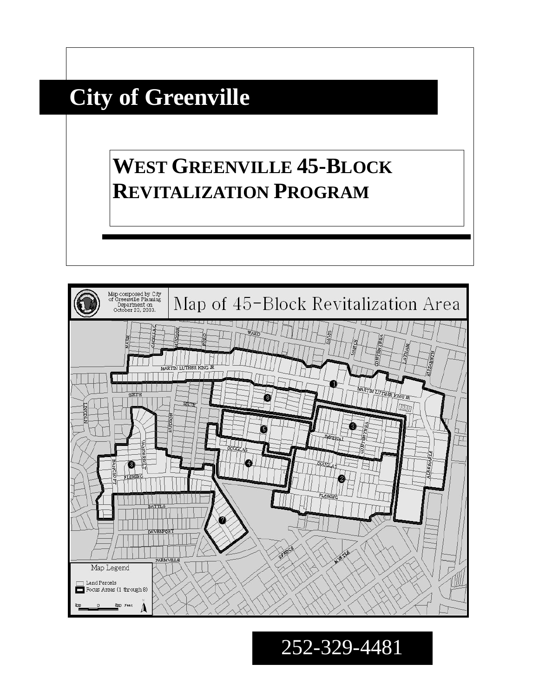# **City of Greenville**

## **WEST GREENVILLE 45-BLOCK REVITALIZATION PROGRAM**



252-329-4481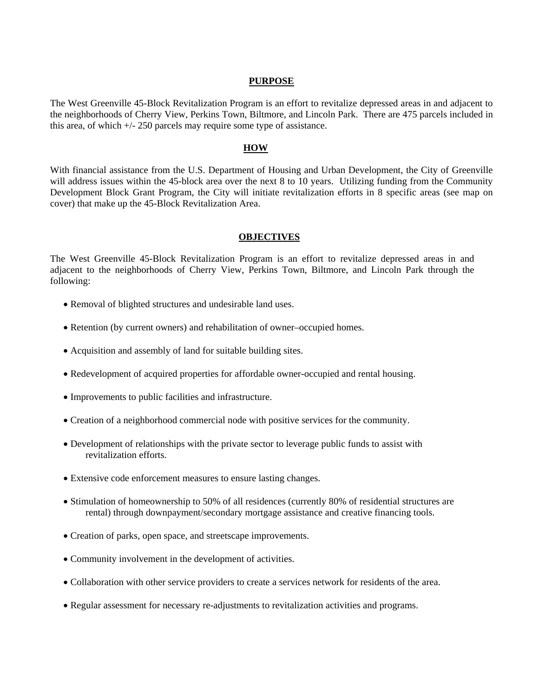#### **PURPOSE**

The West Greenville 45-Block Revitalization Program is an effort to revitalize depressed areas in and adjacent to the neighborhoods of Cherry View, Perkins Town, Biltmore, and Lincoln Park. There are 475 parcels included in this area, of which  $\pm/250$  parcels may require some type of assistance.

#### **HOW**

With financial assistance from the U.S. Department of Housing and Urban Development, the City of Greenville will address issues within the 45-block area over the next 8 to 10 years. Utilizing funding from the Community Development Block Grant Program, the City will initiate revitalization efforts in 8 specific areas (see map on cover) that make up the 45-Block Revitalization Area.

#### **OBJECTIVES**

The West Greenville 45-Block Revitalization Program is an effort to revitalize depressed areas in and adjacent to the neighborhoods of Cherry View, Perkins Town, Biltmore, and Lincoln Park through the following:

- Removal of blighted structures and undesirable land uses.
- Retention (by current owners) and rehabilitation of owner–occupied homes.
- Acquisition and assembly of land for suitable building sites.
- Redevelopment of acquired properties for affordable owner-occupied and rental housing.
- Improvements to public facilities and infrastructure.
- Creation of a neighborhood commercial node with positive services for the community.
- Development of relationships with the private sector to leverage public funds to assist with revitalization efforts.
- Extensive code enforcement measures to ensure lasting changes.
- Stimulation of homeownership to 50% of all residences (currently 80% of residential structures are rental) through downpayment/secondary mortgage assistance and creative financing tools.
- Creation of parks, open space, and streetscape improvements.
- Community involvement in the development of activities.
- Collaboration with other service providers to create a services network for residents of the area.
- Regular assessment for necessary re-adjustments to revitalization activities and programs.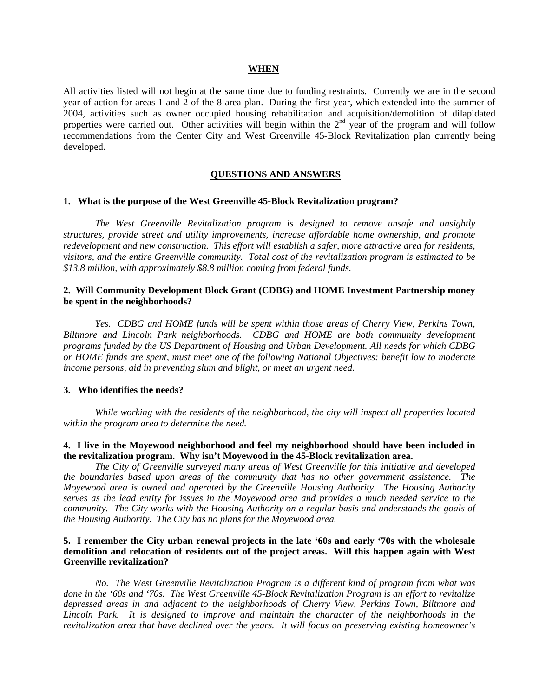#### **WHEN**

All activities listed will not begin at the same time due to funding restraints. Currently we are in the second year of action for areas 1 and 2 of the 8-area plan. During the first year, which extended into the summer of 2004, activities such as owner occupied housing rehabilitation and acquisition/demolition of dilapidated properties were carried out. Other activities will begin within the  $2<sup>nd</sup>$  year of the program and will follow recommendations from the Center City and West Greenville 45-Block Revitalization plan currently being developed.

#### **QUESTIONS AND ANSWERS**

## **1. What is the purpose of the West Greenville 45-Block Revitalization program?**

*The West Greenville Revitalization program is designed to remove unsafe and unsightly structures, provide street and utility improvements, increase affordable home ownership, and promote redevelopment and new construction. This effort will establish a safer, more attractive area for residents, visitors, and the entire Greenville community. Total cost of the revitalization program is estimated to be \$13.8 million, with approximately \$8.8 million coming from federal funds.*

## **2. Will Community Development Block Grant (CDBG) and HOME Investment Partnership money be spent in the neighborhoods?**

*Yes. CDBG and HOME funds will be spent within those areas of Cherry View, Perkins Town, Biltmore and Lincoln Park neighborhoods. CDBG and HOME are both community development programs funded by the US Department of Housing and Urban Development. All needs for which CDBG or HOME funds are spent, must meet one of the following National Objectives: benefit low to moderate income persons, aid in preventing slum and blight, or meet an urgent need.* 

#### **3. Who identifies the needs?**

 *While working with the residents of the neighborhood, the city will inspect all properties located within the program area to determine the need.*

## **4. I live in the Moyewood neighborhood and feel my neighborhood should have been included in the revitalization program. Why isn't Moyewood in the 45-Block revitalization area.**

*The City of Greenville surveyed many areas of West Greenville for this initiative and developed the boundaries based upon areas of the community that has no other government assistance. The Moyewood area is owned and operated by the Greenville Housing Authority. The Housing Authority serves as the lead entity for issues in the Moyewood area and provides a much needed service to the community. The City works with the Housing Authority on a regular basis and understands the goals of the Housing Authority. The City has no plans for the Moyewood area.* 

#### **5. I remember the City urban renewal projects in the late '60s and early '70s with the wholesale demolition and relocation of residents out of the project areas. Will this happen again with West Greenville revitalization?**

 *No. The West Greenville Revitalization Program is a different kind of program from what was done in the '60s and '70s. The West Greenville 45-Block Revitalization Program is an effort to revitalize depressed areas in and adjacent to the neighborhoods of Cherry View, Perkins Town, Biltmore and Lincoln Park. It is designed to improve and maintain the character of the neighborhoods in the revitalization area that have declined over the years. It will focus on preserving existing homeowner's*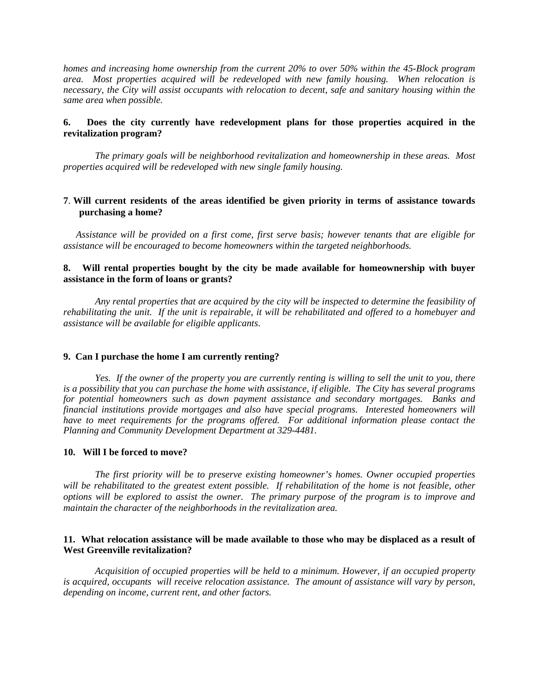*homes and increasing home ownership from the current 20% to over 50% within the 45-Block program area. Most properties acquired will be redeveloped with new family housing. When relocation is necessary, the City will assist occupants with relocation to decent, safe and sanitary housing within the same area when possible.* 

## **6. Does the city currently have redevelopment plans for those properties acquired in the revitalization program?**

*The primary goals will be neighborhood revitalization and homeownership in these areas. Most properties acquired will be redeveloped with new single family housing.* 

## **7**. **Will current residents of the areas identified be given priority in terms of assistance towards purchasing a home?**

*Assistance will be provided on a first come, first serve basis; however tenants that are eligible for assistance will be encouraged to become homeowners within the targeted neighborhoods.*

## **8. Will rental properties bought by the city be made available for homeownership with buyer assistance in the form of loans or grants?**

*Any rental properties that are acquired by the city will be inspected to determine the feasibility of rehabilitating the unit. If the unit is repairable, it will be rehabilitated and offered to a homebuyer and assistance will be available for eligible applicants*.

### **9. Can I purchase the home I am currently renting?**

 *Yes. If the owner of the property you are currently renting is willing to sell the unit to you, there is a possibility that you can purchase the home with assistance, if eligible. The City has several programs for potential homeowners such as down payment assistance and secondary mortgages. Banks and financial institutions provide mortgages and also have special programs. Interested homeowners will*  have to meet requirements for the programs offered. For additional information please contact the *Planning and Community Development Department at 329-4481.* 

### **10. Will I be forced to move?**

*The first priority will be to preserve existing homeowner's homes. Owner occupied properties*  will be rehabilitated to the greatest extent possible. If rehabilitation of the home is not feasible, other *options will be explored to assist the owner. The primary purpose of the program is to improve and maintain the character of the neighborhoods in the revitalization area.* 

## **11. What relocation assistance will be made available to those who may be displaced as a result of West Greenville revitalization?**

 *Acquisition of occupied properties will be held to a minimum. However, if an occupied property is acquired, occupants will receive relocation assistance. The amount of assistance will vary by person, depending on income, current rent, and other factors.*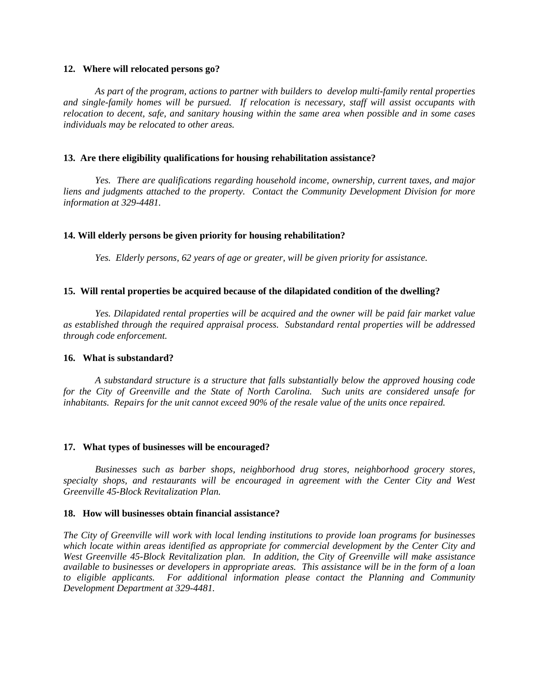#### **12. Where will relocated persons go?**

*As part of the program, actions to partner with builders to develop multi-family rental properties and single-family homes will be pursued. If relocation is necessary, staff will assist occupants with relocation to decent, safe, and sanitary housing within the same area when possible and in some cases individuals may be relocated to other areas.* 

#### **13. Are there eligibility qualifications for housing rehabilitation assistance?**

*Yes. There are qualifications regarding household income, ownership, current taxes, and major liens and judgments attached to the property. Contact the Community Development Division for more information at 329-4481.* 

#### **14. Will elderly persons be given priority for housing rehabilitation?**

*Yes. Elderly persons, 62 years of age or greater, will be given priority for assistance.* 

#### **15. Will rental properties be acquired because of the dilapidated condition of the dwelling?**

*Yes. Dilapidated rental properties will be acquired and the owner will be paid fair market value as established through the required appraisal process. Substandard rental properties will be addressed through code enforcement.* 

## **16. What is substandard?**

*A substandard structure is a structure that falls substantially below the approved housing code for the City of Greenville and the State of North Carolina. Such units are considered unsafe for inhabitants. Repairs for the unit cannot exceed 90% of the resale value of the units once repaired.* 

#### **17. What types of businesses will be encouraged?**

*Businesses such as barber shops, neighborhood drug stores, neighborhood grocery stores, specialty shops, and restaurants will be encouraged in agreement with the Center City and West Greenville 45-Block Revitalization Plan.* 

## **18. How will businesses obtain financial assistance?**

*The City of Greenville will work with local lending institutions to provide loan programs for businesses which locate within areas identified as appropriate for commercial development by the Center City and West Greenville 45-Block Revitalization plan. In addition, the City of Greenville will make assistance available to businesses or developers in appropriate areas. This assistance will be in the form of a loan to eligible applicants. For additional information please contact the Planning and Community Development Department at 329-4481.*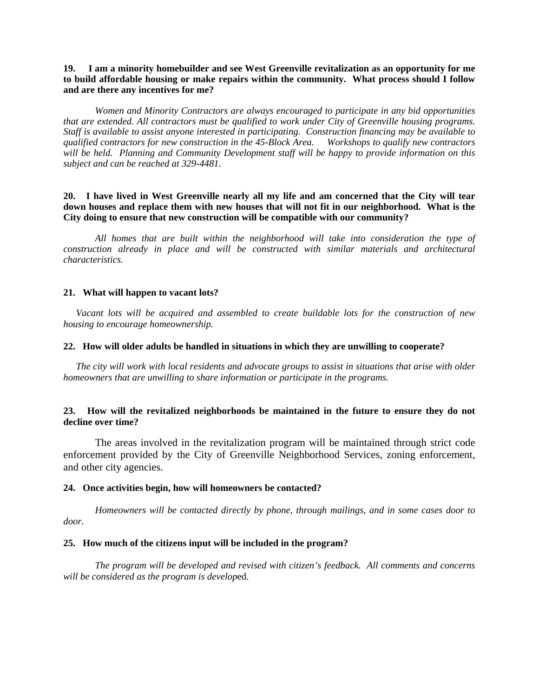## **19. I am a minority homebuilder and see West Greenville revitalization as an opportunity for me to build affordable housing or make repairs within the community. What process should I follow and are there any incentives for me?**

 *Women and Minority Contractors are always encouraged to participate in any bid opportunities that are extended. All contractors must be qualified to work under City of Greenville housing programs. Staff is available to assist anyone interested in participating. Construction financing may be available to qualified contractors for new construction in the 45-Block Area. Workshops to qualify new contractors will be held. Planning and Community Development staff will be happy to provide information on this subject and can be reached at 329-4481.* 

## **20. I have lived in West Greenville nearly all my life and am concerned that the City will tear down houses and replace them with new houses that will not fit in our neighborhood. What is the City doing to ensure that new construction will be compatible with our community?**

 *All homes that are built within the neighborhood will take into consideration the type of construction already in place and will be constructed with similar materials and architectural characteristics.* 

## **21. What will happen to vacant lots?**

*Vacant lots will be acquired and assembled to create buildable lots for the construction of new housing to encourage homeownership.* 

## **22. How will older adults be handled in situations in which they are unwilling to cooperate?**

*The city will work with local residents and advocate groups to assist in situations that arise with older homeowners that are unwilling to share information or participate in the programs.* 

## **23. How will the revitalized neighborhoods be maintained in the future to ensure they do not decline over time?**

 The areas involved in the revitalization program will be maintained through strict code enforcement provided by the City of Greenville Neighborhood Services, zoning enforcement, and other city agencies.

## **24. Once activities begin, how will homeowners be contacted?**

*Homeowners will be contacted directly by phone, through mailings, and in some cases door to door.*

### **25. How much of the citizens input will be included in the program?**

*The program will be developed and revised with citizen's feedback. All comments and concerns will be considered as the program is develop*ed.